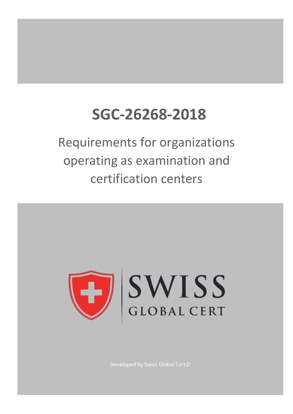# **SGC-26268-2018**

Requirements for organizations operating as examination and certification centers

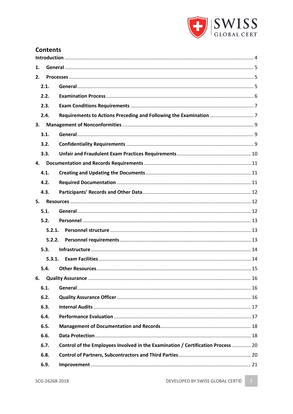

# **Contents**

| 1. |        |                                                                                  |  |  |  |  |  |  |  |
|----|--------|----------------------------------------------------------------------------------|--|--|--|--|--|--|--|
| 2. |        |                                                                                  |  |  |  |  |  |  |  |
|    | 2.1.   |                                                                                  |  |  |  |  |  |  |  |
|    | 2.2.   |                                                                                  |  |  |  |  |  |  |  |
|    | 2.3.   |                                                                                  |  |  |  |  |  |  |  |
|    | 2.4.   |                                                                                  |  |  |  |  |  |  |  |
| 3. |        |                                                                                  |  |  |  |  |  |  |  |
|    | 3.1.   |                                                                                  |  |  |  |  |  |  |  |
|    | 3.2.   |                                                                                  |  |  |  |  |  |  |  |
|    | 3.3.   |                                                                                  |  |  |  |  |  |  |  |
| 4. |        |                                                                                  |  |  |  |  |  |  |  |
|    | 4.1.   |                                                                                  |  |  |  |  |  |  |  |
|    | 4.2.   |                                                                                  |  |  |  |  |  |  |  |
|    | 4.3.   |                                                                                  |  |  |  |  |  |  |  |
| 5. |        |                                                                                  |  |  |  |  |  |  |  |
|    | 5.1.   |                                                                                  |  |  |  |  |  |  |  |
|    | 5.2.   |                                                                                  |  |  |  |  |  |  |  |
|    | 5.2.1. |                                                                                  |  |  |  |  |  |  |  |
|    | 5.2.2. |                                                                                  |  |  |  |  |  |  |  |
|    | 5.3.   |                                                                                  |  |  |  |  |  |  |  |
|    | 5.3.1. |                                                                                  |  |  |  |  |  |  |  |
|    | 5.4.   |                                                                                  |  |  |  |  |  |  |  |
| 6. |        |                                                                                  |  |  |  |  |  |  |  |
|    | 6.1.   |                                                                                  |  |  |  |  |  |  |  |
|    | 6.2.   |                                                                                  |  |  |  |  |  |  |  |
|    | 6.3.   |                                                                                  |  |  |  |  |  |  |  |
|    | 6.4.   |                                                                                  |  |  |  |  |  |  |  |
|    | 6.5.   |                                                                                  |  |  |  |  |  |  |  |
|    | 6.6.   |                                                                                  |  |  |  |  |  |  |  |
|    | 6.7.   | Control of the Employees Involved in the Examination / Certification Process  20 |  |  |  |  |  |  |  |
|    | 6.8.   |                                                                                  |  |  |  |  |  |  |  |
|    | 6.9.   |                                                                                  |  |  |  |  |  |  |  |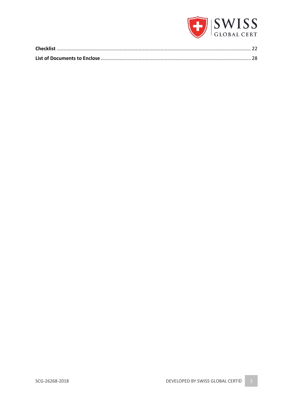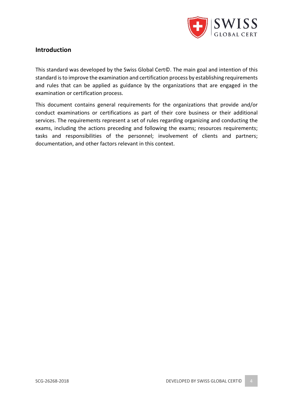

# **Introduction**

This standard was developed by the Swiss Global Cert©. The main goal and intention of this standard is to improve the examination and certification process by establishing requirements and rules that can be applied as guidance by the organizations that are engaged in the examination or certification process.

This document contains general requirements for the organizations that provide and/or conduct examinations or certifications as part of their core business or their additional services. The requirements represent a set of rules regarding organizing and conducting the exams, including the actions preceding and following the exams; resources requirements; tasks and responsibilities of the personnel; involvement of clients and partners; documentation, and other factors relevant in this context.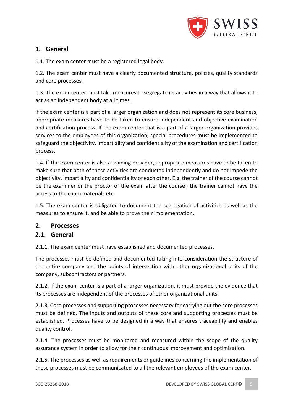

# **1. General**

1.1. The exam center must be a registered legal body.

1.2. The exam center must have a clearly documented structure, policies, quality standards and core processes.

1.3. The exam center must take measures to segregate its activities in a way that allows it to act as an independent body at all times.

If the exam center is a part of a larger organization and does not represent its core business, appropriate measures have to be taken to ensure independent and objective examination and certification process. If the exam center that is a part of a larger organization provides services to the employees of this organization, special procedures must be implemented to safeguard the objectivity, impartiality and confidentiality of the examination and certification process.

1.4. If the exam center is also a training provider, appropriate measures have to be taken to make sure that both of these activities are conducted independently and do not impede the objectivity, impartiality and confidentiality of each other. E.g. the trainer of the course cannot be the examiner or the proctor of the exam after the course ; the trainer cannot have the access to the exam materials etc.

1.5. The exam center is obligated to document the segregation of activities as well as the measures to ensure it, and be able to prove their implementation.

# **2. Processes**

# **2.1. General**

2.1.1. The exam center must have established and documented processes.

The processes must be defined and documented taking into consideration the structure of the entire company and the points of intersection with other organizational units of the company, subcontractors or partners.

2.1.2. If the exam center is a part of a larger organization, it must provide the evidence that its processes are independent of the processes of other organizational units.

2.1.3. Core processes and supporting processes necessary for carrying out the core processes must be defined. The inputs and outputs of these core and supporting processes must be established. Processes have to be designed in a way that ensures traceability and enables quality control.

2.1.4. The processes must be monitored and measured within the scope of the quality assurance system in order to allow for their continuous improvement and optimization.

2.1.5. The processes as well as requirements or guidelines concerning the implementation of these processes must be communicated to all the relevant employees of the exam center.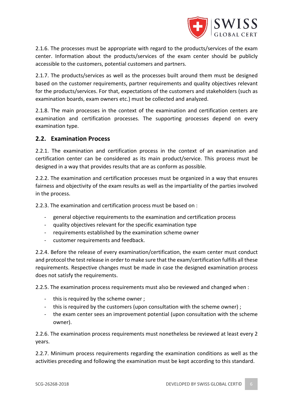

2.1.6. The processes must be appropriate with regard to the products/services of the exam center. Information about the products/services of the exam center should be publicly accessible to the customers, potential customers and partners.

2.1.7. The products/services as well as the processes built around them must be designed based on the customer requirements, partner requirements and quality objectives relevant for the products/services. For that, expectations of the customers and stakeholders (such as examination boards, exam owners etc.) must be collected and analyzed.

2.1.8. The main processes in the context of the examination and certification centers are examination and certification processes. The supporting processes depend on every examination type.

### **2.2. Examination Process**

2.2.1. The examination and certification process in the context of an examination and certification center can be considered as its main product/service. This process must be designed in a way that provides results that are as conform as possible.

2.2.2. The examination and certification processes must be organized in a way that ensures fairness and objectivity of the exam results as well as the impartiality of the parties involved in the process.

2.2.3. The examination and certification process must be based on :

- general objective requirements to the examination and certification process
- quality objectives relevant for the specific examination type
- requirements established by the examination scheme owner
- customer requirements and feedback.

2.2.4. Before the release of every examination/certification, the exam center must conduct and protocol the test release in order to make sure that the exam/certification fulfills all these requirements. Respective changes must be made in case the designed examination process does not satisfy the requirements.

2.2.5. The examination process requirements must also be reviewed and changed when :

- this is required by the scheme owner ;
- this is required by the customers (upon consultation with the scheme owner) ;
- the exam center sees an improvement potential (upon consultation with the scheme owner).

2.2.6. The examination process requirements must nonetheless be reviewed at least every 2 years.

2.2.7. Minimum process requirements regarding the examination conditions as well as the activities preceding and following the examination must be kept according to this standard.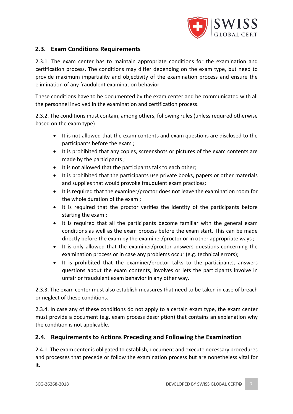

# **2.3. Exam Conditions Requirements**

2.3.1. The exam center has to maintain appropriate conditions for the examination and certification process. The conditions may differ depending on the exam type, but need to provide maximum impartiality and objectivity of the examination process and ensure the elimination of any fraudulent examination behavior.

These conditions have to be documented by the exam center and be communicated with all the personnel involved in the examination and certification process.

2.3.2. The conditions must contain, among others, following rules (unless required otherwise based on the exam type) :

- It is not allowed that the exam contents and exam questions are disclosed to the participants before the exam ;
- It is prohibited that any copies, screenshots or pictures of the exam contents are made by the participants ;
- It is not allowed that the participants talk to each other;
- It is prohibited that the participants use private books, papers or other materials and supplies that would provoke fraudulent exam practices;
- It is required that the examiner/proctor does not leave the examination room for the whole duration of the exam ;
- It is required that the proctor verifies the identity of the participants before starting the exam ;
- It is required that all the participants become familiar with the general exam conditions as well as the exam process before the exam start. This can be made directly before the exam by the examiner/proctor or in other appropriate ways ;
- It is only allowed that the examiner/proctor answers questions concerning the examination process or in case any problems occur (e.g. technical errors);
- It is prohibited that the examiner/proctor talks to the participants, answers questions about the exam contents, involves or lets the participants involve in unfair or fraudulent exam behavior in any other way.

2.3.3. The exam center must also establish measures that need to be taken in case of breach or neglect of these conditions.

2.3.4. In case any of these conditions do not apply to a certain exam type, the exam center must provide a document (e.g. exam process description) that contains an explanation why the condition is not applicable.

# **2.4. Requirements to Actions Preceding and Following the Examination**

2.4.1. The exam center is obligated to establish, document and execute necessary procedures and processes that precede or follow the examination process but are nonetheless vital for it.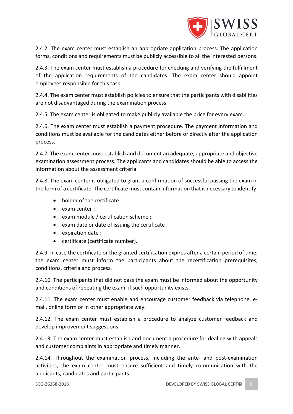

2.4.2. The exam center must establish an appropriate application process. The application forms, conditions and requirements must be publicly accessible to all the interested persons.

2.4.3. The exam center must establish a procedure for checking and verifying the fulfillment of the application requirements of the candidates. The exam center should appoint employees responsible for this task.

2.4.4. The exam center must establish policies to ensure that the participants with disabilities are not disadvantaged during the examination process.

2.4.5. The exam center is obligated to make publicly available the price for every exam.

2.4.6. The exam center must establish a payment procedure. The payment information and conditions must be available for the candidates either before or directly after the application process.

2.4.7. The exam center must establish and document an adequate, appropriate and objective examination assessment process. The applicants and candidates should be able to access the information about the assessment criteria.

2.4.8. The exam center is obligated to grant a confirmation of successful passing the exam in the form of a certificate. The certificate must contain information that is necessary to identify:

- holder of the certificate;
- exam center ;
- exam module / certification scheme ;
- exam date or date of issuing the certificate ;
- expiration date ;
- certificate (certificate number).

2.4.9. In case the certificate or the granted certification expires after a certain period of time, the exam center must inform the participants about the recertification prerequisites, conditions, criteria and process.

2.4.10. The participants that did not pass the exam must be informed about the opportunity and conditions of repeating the exam, if such opportunity exists.

2.4.11. The exam center must enable and encourage customer feedback via telephone, email, online form or in other appropriate way.

2.4.12. The exam center must establish a procedure to analyze customer feedback and develop improvement suggestions.

2.4.13. The exam center must establish and document a procedure for dealing with appeals and customer complaints in appropriate and timely manner.

2.4.14. Throughout the examination process, including the ante- and post-examination activities, the exam center must ensure sufficient and timely communication with the applicants, candidates and participants.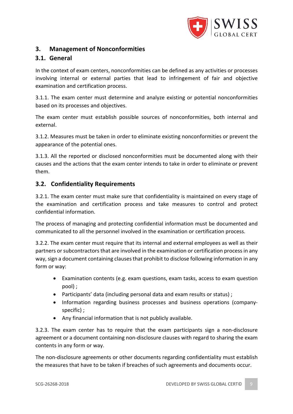

# **3. Management of Nonconformities**

# **3.1. General**

In the context of exam centers, nonconformities can be defined as any activities or processes involving internal or external parties that lead to infringement of fair and objective examination and certification process.

3.1.1. The exam center must determine and analyze existing or potential nonconformities based on its processes and objectives.

The exam center must establish possible sources of nonconformities, both internal and external.

3.1.2. Measures must be taken in order to eliminate existing nonconformities or prevent the appearance of the potential ones.

3.1.3. All the reported or disclosed nonconformities must be documented along with their causes and the actions that the exam center intends to take in order to eliminate or prevent them.

# **3.2. Confidentiality Requirements**

3.2.1. The exam center must make sure that confidentiality is maintained on every stage of the examination and certification process and take measures to control and protect confidential information.

The process of managing and protecting confidential information must be documented and communicated to all the personnel involved in the examination or certification process.

3.2.2. The exam center must require that its internal and external employees as well as their partners or subcontractors that are involved in the examination or certification process in any way, sign a document containing clauses that prohibit to disclose following information in any form or way:

- Examination contents (e.g. exam questions, exam tasks, access to exam question pool) ;
- Participants' data (including personal data and exam results or status) ;
- Information regarding business processes and business operations (companyspecific) ;
- Any financial information that is not publicly available.

3.2.3. The exam center has to require that the exam participants sign a non-disclosure agreement or a document containing non-disclosure clauses with regard to sharing the exam contents in any form or way.

The non-disclosure agreements or other documents regarding confidentiality must establish the measures that have to be taken if breaches of such agreements and documents occur.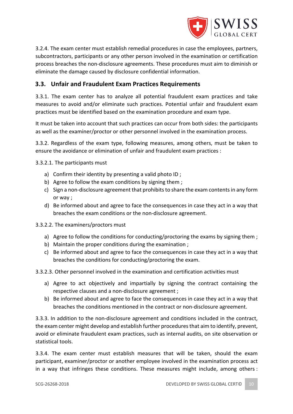

3.2.4. The exam center must establish remedial procedures in case the employees, partners, subcontractors, participants or any other person involved in the examination or certification process breaches the non-disclosure agreements. These procedures must aim to diminish or eliminate the damage caused by disclosure confidential information.

# **3.3. Unfair and Fraudulent Exam Practices Requirements**

3.3.1. The exam center has to analyze all potential fraudulent exam practices and take measures to avoid and/or eliminate such practices. Potential unfair and fraudulent exam practices must be identified based on the examination procedure and exam type.

It must be taken into account that such practices can occur from both sides: the participants as well as the examiner/proctor or other personnel involved in the examination process.

3.3.2. Regardless of the exam type, following measures, among others, must be taken to ensure the avoidance or elimination of unfair and fraudulent exam practices :

3.3.2.1. The participants must

- a) Confirm their identity by presenting a valid photo ID ;
- b) Agree to follow the exam conditions by signing them ;
- c) Sign a non-disclosure agreement that prohibits to share the exam contents in any form or way ;
- d) Be informed about and agree to face the consequences in case they act in a way that breaches the exam conditions or the non-disclosure agreement.
- 3.3.2.2. The examiners/proctors must
	- a) Agree to follow the conditions for conducting/proctoring the exams by signing them;
	- b) Maintain the proper conditions during the examination ;
	- c) Be informed about and agree to face the consequences in case they act in a way that breaches the conditions for conducting/proctoring the exam.

3.3.2.3. Other personnel involved in the examination and certification activities must

- a) Agree to act objectively and impartially by signing the contract containing the respective clauses and a non-disclosure agreement ;
- b) Be informed about and agree to face the consequences in case they act in a way that breaches the conditions mentioned in the contract or non-disclosure agreement.

3.3.3. In addition to the non-disclosure agreement and conditions included in the contract, the exam center might develop and establish further procedures that aim to identify, prevent, avoid or eliminate fraudulent exam practices, such as internal audits, on site observation or statistical tools.

3.3.4. The exam center must establish measures that will be taken, should the exam participant, examiner/proctor or another employee involved in the examination process act in a way that infringes these conditions. These measures might include, among others :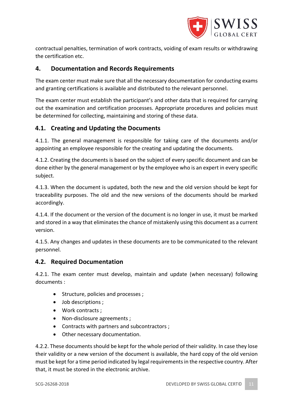

contractual penalties, termination of work contracts, voiding of exam results or withdrawing the certification etc.

# **4. Documentation and Records Requirements**

The exam center must make sure that all the necessary documentation for conducting exams and granting certifications is available and distributed to the relevant personnel.

The exam center must establish the participant's and other data that is required for carrying out the examination and certification processes. Appropriate procedures and policies must be determined for collecting, maintaining and storing of these data.

# **4.1. Creating and Updating the Documents**

4.1.1. The general management is responsible for taking care of the documents and/or appointing an employee responsible for the creating and updating the documents.

4.1.2. Creating the documents is based on the subject of every specific document and can be done either by the general management or by the employee who is an expert in every specific subject.

4.1.3. When the document is updated, both the new and the old version should be kept for traceability purposes. The old and the new versions of the documents should be marked accordingly.

4.1.4. If the document or the version of the document is no longer in use, it must be marked and stored in a way that eliminates the chance of mistakenly using this document as a current version.

4.1.5. Any changes and updates in these documents are to be communicated to the relevant personnel.

# **4.2. Required Documentation**

4.2.1. The exam center must develop, maintain and update (when necessary) following documents :

- Structure, policies and processes ;
- Job descriptions ;
- Work contracts ;
- Non-disclosure agreements ;
- Contracts with partners and subcontractors ;
- Other necessary documentation.

4.2.2. These documents should be kept for the whole period of their validity. In case they lose their validity or a new version of the document is available, the hard copy of the old version must be kept for a time period indicated by legal requirements in the respective country. After that, it must be stored in the electronic archive.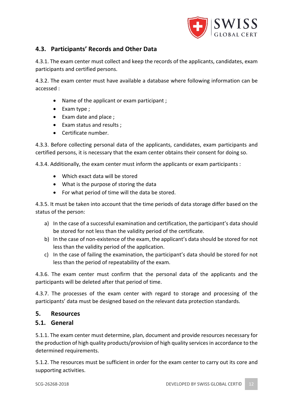

# **4.3. Participants' Records and Other Data**

4.3.1. The exam center must collect and keep the records of the applicants, candidates, exam participants and certified persons.

4.3.2. The exam center must have available a database where following information can be accessed :

- Name of the applicant or exam participant ;
- Exam type ;
- Exam date and place ;
- Exam status and results ;
- Certificate number.

4.3.3. Before collecting personal data of the applicants, candidates, exam participants and certified persons, it is necessary that the exam center obtains their consent for doing so.

4.3.4. Additionally, the exam center must inform the applicants or exam participants :

- Which exact data will be stored
- What is the purpose of storing the data
- For what period of time will the data be stored.

4.3.5. It must be taken into account that the time periods of data storage differ based on the status of the person:

- a) In the case of a successful examination and certification, the participant's data should be stored for not less than the validity period of the certificate.
- b) In the case of non-existence of the exam, the applicant's data should be stored for not less than the validity period of the application.
- c) In the case of failing the examination, the participant's data should be stored for not less than the period of repeatability of the exam.

4.3.6. The exam center must confirm that the personal data of the applicants and the participants will be deleted after that period of time.

4.3.7. The processes of the exam center with regard to storage and processing of the participants' data must be designed based on the relevant data protection standards.

#### **5. Resources**

# **5.1. General**

5.1.1. The exam center must determine, plan, document and provide resources necessary for the production of high quality products/provision of high quality services in accordance to the determined requirements.

5.1.2. The resources must be sufficient in order for the exam center to carry out its core and supporting activities.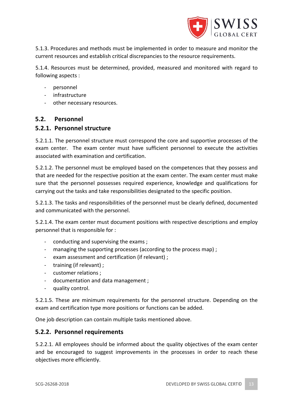

5.1.3. Procedures and methods must be implemented in order to measure and monitor the current resources and establish critical discrepancies to the resource requirements.

5.1.4. Resources must be determined, provided, measured and monitored with regard to following aspects :

- personnel
- infrastructure
- other necessary resources.

#### **5.2. Personnel**

#### **5.2.1. Personnel structure**

5.2.1.1. The personnel structure must correspond the core and supportive processes of the exam center. The exam center must have sufficient personnel to execute the activities associated with examination and certification.

5.2.1.2. The personnel must be employed based on the competences that they possess and that are needed for the respective position at the exam center. The exam center must make sure that the personnel possesses required experience, knowledge and qualifications for carrying out the tasks and take responsibilities designated to the specific position.

5.2.1.3. The tasks and responsibilities of the personnel must be clearly defined, documented and communicated with the personnel.

5.2.1.4. The exam center must document positions with respective descriptions and employ personnel that is responsible for :

- conducting and supervising the exams;
- managing the supporting processes (according to the process map) ;
- exam assessment and certification (if relevant) ;
- training (if relevant) ;
- customer relations ;
- documentation and data management ;
- quality control.

5.2.1.5. These are minimum requirements for the personnel structure. Depending on the exam and certification type more positions or functions can be added.

One job description can contain multiple tasks mentioned above.

#### **5.2.2. Personnel requirements**

5.2.2.1. All employees should be informed about the quality objectives of the exam center and be encouraged to suggest improvements in the processes in order to reach these objectives more efficiently.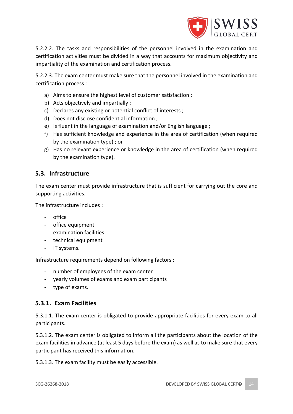

5.2.2.2. The tasks and responsibilities of the personnel involved in the examination and certification activities must be divided in a way that accounts for maximum objectivity and impartiality of the examination and certification process.

5.2.2.3. The exam center must make sure that the personnel involved in the examination and certification process :

- a) Aims to ensure the highest level of customer satisfaction ;
- b) Acts objectively and impartially ;
- c) Declares any existing or potential conflict of interests ;
- d) Does not disclose confidential information ;
- e) Is fluent in the language of examination and/or English language ;
- f) Has sufficient knowledge and experience in the area of certification (when required by the examination type) ; or
- g) Has no relevant experience or knowledge in the area of certification (when required by the examination type).

# **5.3. Infrastructure**

The exam center must provide infrastructure that is sufficient for carrying out the core and supporting activities.

The infrastructure includes :

- office
- office equipment
- examination facilities
- technical equipment
- IT systems.

Infrastructure requirements depend on following factors :

- number of employees of the exam center
- yearly volumes of exams and exam participants
- type of exams.

# **5.3.1. Exam Facilities**

5.3.1.1. The exam center is obligated to provide appropriate facilities for every exam to all participants.

5.3.1.2. The exam center is obligated to inform all the participants about the location of the exam facilities in advance (at least 5 days before the exam) as well as to make sure that every participant has received this information.

5.3.1.3. The exam facility must be easily accessible.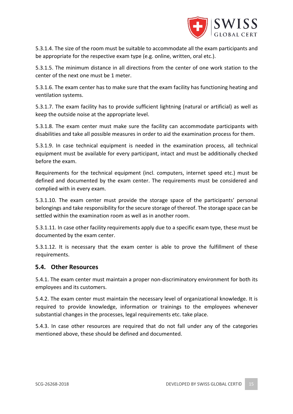

5.3.1.4. The size of the room must be suitable to accommodate all the exam participants and be appropriate for the respective exam type (e.g. online, written, oral etc.).

5.3.1.5. The minimum distance in all directions from the center of one work station to the center of the next one must be 1 meter.

5.3.1.6. The exam center has to make sure that the exam facility has functioning heating and ventilation systems.

5.3.1.7. The exam facility has to provide sufficient lightning (natural or artificial) as well as keep the outside noise at the appropriate level.

5.3.1.8. The exam center must make sure the facility can accommodate participants with disabilities and take all possible measures in order to aid the examination process for them.

5.3.1.9. In case technical equipment is needed in the examination process, all technical equipment must be available for every participant, intact and must be additionally checked before the exam.

Requirements for the technical equipment (incl. computers, internet speed etc.) must be defined and documented by the exam center. The requirements must be considered and complied with in every exam.

5.3.1.10. The exam center must provide the storage space of the participants' personal belongings and take responsibility for the secure storage of thereof. The storage space can be settled within the examination room as well as in another room.

5.3.1.11. In case other facility requirements apply due to a specific exam type, these must be documented by the exam center.

5.3.1.12. It is necessary that the exam center is able to prove the fulfillment of these requirements.

#### **5.4. Other Resources**

5.4.1. The exam center must maintain a proper non-discriminatory environment for both its employees and its customers.

5.4.2. The exam center must maintain the necessary level of organizational knowledge. It is required to provide knowledge, information or trainings to the employees whenever substantial changes in the processes, legal requirements etc. take place.

5.4.3. In case other resources are required that do not fall under any of the categories mentioned above, these should be defined and documented.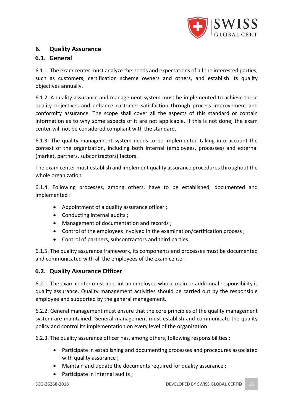

# **6. Quality Assurance**

# **6.1. General**

6.1.1. The exam center must analyze the needs and expectations of all the interested parties, such as customers, certification scheme owners and others, and establish its quality objectives annually.

6.1.2. A quality assurance and management system must be implemented to achieve these quality objectives and enhance customer satisfaction through process improvement and conformity assurance. The scope shall cover all the aspects of this standard or contain information as to why some aspects of it are not applicable. If this is not done, the exam center will not be considered compliant with the standard.

6.1.3. The quality management system needs to be implemented taking into account the context of the organization, including both internal (employees, processes) and external (market, partners, subcontractors) factors.

The exam center must establish and implement quality assurance procedures throughout the whole organization.

6.1.4. Following processes, among others, have to be established, documented and implemented :

- Appointment of a quality assurance officer ;
- Conducting internal audits ;
- Management of documentation and records ;
- Control of the employees involved in the examination/certification process;
- Control of partners, subcontractors and third parties.

6.1.5. The quality assurance framework, its components and processes must be documented and communicated with all the employees of the exam center.

# **6.2. Quality Assurance Officer**

6.2.1. The exam center must appoint an employee whose main or additional responsibility is quality assurance. Quality management activities should be carried out by the responsible employee and supported by the general management.

6.2.2. General management must ensure that the core principles of the quality management system are maintained. General management must establish and communicate the quality policy and control its implementation on every level of the organization.

6.2.3. The quality assurance officer has, among others, following responsibilities :

- Participate in establishing and documenting processes and procedures associated with quality assurance ;
- Maintain and update the documents required for quality assurance ;
- Participate in internal audits ;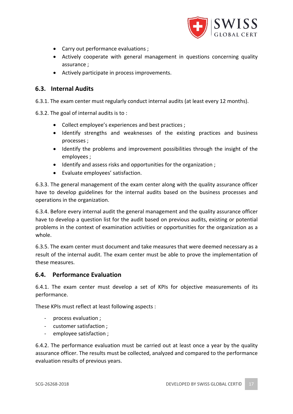

- Carry out performance evaluations ;
- Actively cooperate with general management in questions concerning quality assurance ;
- Actively participate in process improvements.

# **6.3. Internal Audits**

6.3.1. The exam center must regularly conduct internal audits (at least every 12 months).

6.3.2. The goal of internal audits is to :

- Collect employee's experiences and best practices ;
- Identify strengths and weaknesses of the existing practices and business processes ;
- Identify the problems and improvement possibilities through the insight of the employees ;
- Identify and assess risks and opportunities for the organization ;
- Evaluate employees' satisfaction.

6.3.3. The general management of the exam center along with the quality assurance officer have to develop guidelines for the internal audits based on the business processes and operations in the organization.

6.3.4. Before every internal audit the general management and the quality assurance officer have to develop a question list for the audit based on previous audits, existing or potential problems in the context of examination activities or opportunities for the organization as a whole.

6.3.5. The exam center must document and take measures that were deemed necessary as a result of the internal audit. The exam center must be able to prove the implementation of these measures.

#### **6.4. Performance Evaluation**

6.4.1. The exam center must develop a set of KPIs for objective measurements of its performance.

These KPIs must reflect at least following aspects :

- process evaluation ;
- customer satisfaction ;
- employee satisfaction ;

6.4.2. The performance evaluation must be carried out at least once a year by the quality assurance officer. The results must be collected, analyzed and compared to the performance evaluation results of previous years.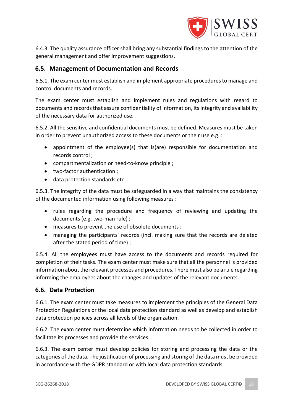

6.4.3. The quality assurance officer shall bring any substantial findings to the attention of the general management and offer improvement suggestions.

# **6.5. Management of Documentation and Records**

6.5.1. The exam center must establish and implement appropriate procedures to manage and control documents and records.

The exam center must establish and implement rules and regulations with regard to documents and records that assure confidentiality of information, its integrity and availability of the necessary data for authorized use.

6.5.2. All the sensitive and confidential documents must be defined. Measures must be taken in order to prevent unauthorized access to these documents or their use e.g. :

- appointment of the employee(s) that is(are) responsible for documentation and records control ;
- compartmentalization or need-to-know principle ;
- two-factor authentication ;
- data protection standards etc.

6.5.3. The integrity of the data must be safeguarded in a way that maintains the consistency of the documented information using following measures :

- rules regarding the procedure and frequency of reviewing and updating the documents (e.g. two-man rule) ;
- measures to prevent the use of obsolete documents ;
- managing the participants' records (incl. making sure that the records are deleted after the stated period of time) ;

6.5.4. All the employees must have access to the documents and records required for completion of their tasks. The exam center must make sure that all the personnel is provided information about the relevant processes and procedures. There must also be a rule regarding informing the employees about the changes and updates of the relevant documents.

#### **6.6. Data Protection**

6.6.1. The exam center must take measures to implement the principles of the General Data Protection Regulations or the local data protection standard as well as develop and establish data protection policies across all levels of the organization.

6.6.2. The exam center must determine which information needs to be collected in order to facilitate its processes and provide the services.

6.6.3. The exam center must develop policies for storing and processing the data or the categories of the data. The justification of processing and storing of the data must be provided in accordance with the GDPR standard or with local data protection standards.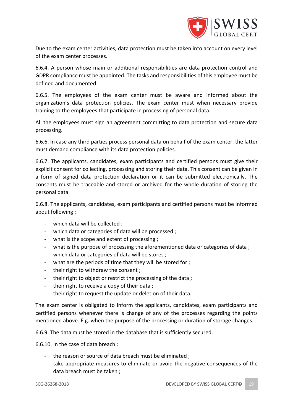

Due to the exam center activities, data protection must be taken into account on every level of the exam center processes.

6.6.4. A person whose main or additional responsibilities are data protection control and GDPR compliance must be appointed. The tasks and responsibilities of this employee must be defined and documented.

6.6.5. The employees of the exam center must be aware and informed about the organization's data protection policies. The exam center must when necessary provide training to the employees that participate in processing of personal data.

All the employees must sign an agreement committing to data protection and secure data processing.

6.6.6. In case any third parties process personal data on behalf of the exam center, the latter must demand compliance with its data protection policies.

6.6.7. The applicants, candidates, exam participants and certified persons must give their explicit consent for collecting, processing and storing their data. This consent can be given in a form of signed data protection declaration or it can be submitted electronically. The consents must be traceable and stored or archived for the whole duration of storing the personal data.

6.6.8. The applicants, candidates, exam participants and certified persons must be informed about following :

- which data will be collected ;
- which data or categories of data will be processed ;
- what is the scope and extent of processing ;
- what is the purpose of processing the aforementioned data or categories of data;
- which data or categories of data will be stores ;
- what are the periods of time that they will be stored for ;
- their right to withdraw the consent;
- their right to object or restrict the processing of the data ;
- their right to receive a copy of their data ;
- their right to request the update or deletion of their data.

The exam center is obligated to inform the applicants, candidates, exam participants and certified persons whenever there is change of any of the processes regarding the points mentioned above. E.g. when the purpose of the processing or duration of storage changes.

6.6.9. The data must be stored in the database that is sufficiently secured.

6.6.10. In the case of data breach :

- the reason or source of data breach must be eliminated;
- take appropriate measures to eliminate or avoid the negative consequences of the data breach must be taken ;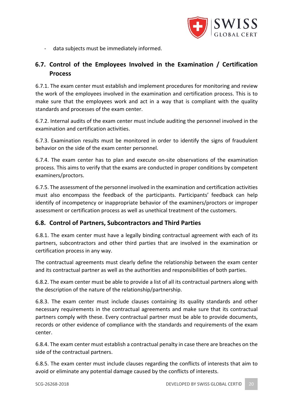

- data subjects must be immediately informed.

# **6.7. Control of the Employees Involved in the Examination / Certification Process**

6.7.1. The exam center must establish and implement procedures for monitoring and review the work of the employees involved in the examination and certification process. This is to make sure that the employees work and act in a way that is compliant with the quality standards and processes of the exam center.

6.7.2. Internal audits of the exam center must include auditing the personnel involved in the examination and certification activities.

6.7.3. Examination results must be monitored in order to identify the signs of fraudulent behavior on the side of the exam center personnel.

6.7.4. The exam center has to plan and execute on-site observations of the examination process. This aims to verify that the exams are conducted in proper conditions by competent examiners/proctors.

6.7.5. The assessment of the personnel involved in the examination and certification activities must also encompass the feedback of the participants. Participants' feedback can help identify of incompetency or inappropriate behavior of the examiners/proctors or improper assessment or certification process as well as unethical treatment of the customers.

#### **6.8. Control of Partners, Subcontractors and Third Parties**

6.8.1. The exam center must have a legally binding contractual agreement with each of its partners, subcontractors and other third parties that are involved in the examination or certification process in any way.

The contractual agreements must clearly define the relationship between the exam center and its contractual partner as well as the authorities and responsibilities of both parties.

6.8.2. The exam center must be able to provide a list of all its contractual partners along with the description of the nature of the relationship/partnership.

6.8.3. The exam center must include clauses containing its quality standards and other necessary requirements in the contractual agreements and make sure that its contractual partners comply with these. Every contractual partner must be able to provide documents, records or other evidence of compliance with the standards and requirements of the exam center.

6.8.4. The exam center must establish a contractual penalty in case there are breaches on the side of the contractual partners.

6.8.5. The exam center must include clauses regarding the conflicts of interests that aim to avoid or eliminate any potential damage caused by the conflicts of interests.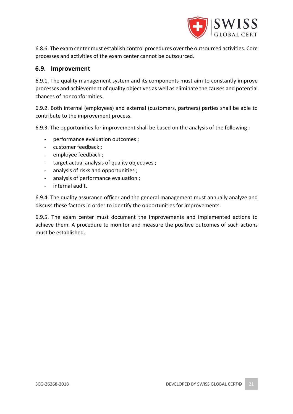

6.8.6. The exam center must establish control procedures over the outsourced activities. Core processes and activities of the exam center cannot be outsourced.

#### **6.9. Improvement**

6.9.1. The quality management system and its components must aim to constantly improve processes and achievement of quality objectives as well as eliminate the causes and potential chances of nonconformities.

6.9.2. Both internal (employees) and external (customers, partners) parties shall be able to contribute to the improvement process.

6.9.3. The opportunities for improvement shall be based on the analysis of the following :

- performance evaluation outcomes ;
- customer feedback ;
- employee feedback ;
- target actual analysis of quality objectives ;
- analysis of risks and opportunities ;
- analysis of performance evaluation ;
- internal audit.

6.9.4. The quality assurance officer and the general management must annually analyze and discuss these factors in order to identify the opportunities for improvements.

6.9.5. The exam center must document the improvements and implemented actions to achieve them. A procedure to monitor and measure the positive outcomes of such actions must be established.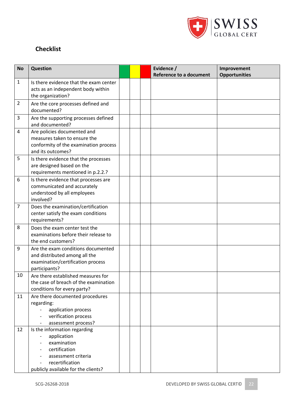

# **Checklist**

| <b>No</b>      | <b>Question</b>                                                                                                                                              |  | Evidence /<br><b>Reference to a document</b> | Improvement<br><b>Opportunities</b> |
|----------------|--------------------------------------------------------------------------------------------------------------------------------------------------------------|--|----------------------------------------------|-------------------------------------|
| 1              | Is there evidence that the exam center<br>acts as an independent body within<br>the organization?                                                            |  |                                              |                                     |
| $\overline{2}$ | Are the core processes defined and<br>documented?                                                                                                            |  |                                              |                                     |
| 3              | Are the supporting processes defined<br>and documented?                                                                                                      |  |                                              |                                     |
| 4              | Are policies documented and<br>measures taken to ensure the<br>conformity of the examination process<br>and its outcomes?                                    |  |                                              |                                     |
| 5              | Is there evidence that the processes<br>are designed based on the<br>requirements mentioned in p.2.2.?                                                       |  |                                              |                                     |
| 6              | Is there evidence that processes are<br>communicated and accurately<br>understood by all employees<br>involved?                                              |  |                                              |                                     |
| $\overline{7}$ | Does the examination/certification<br>center satisfy the exam conditions<br>requirements?                                                                    |  |                                              |                                     |
| 8              | Does the exam center test the<br>examinations before their release to<br>the end customers?                                                                  |  |                                              |                                     |
| 9              | Are the exam conditions documented<br>and distributed among all the<br>examination/certification process<br>participants?                                    |  |                                              |                                     |
| 10             | Are there established measures for<br>the case of breach of the examination<br>conditions for every party?                                                   |  |                                              |                                     |
| 11             | Are there documented procedures<br>regarding:<br>application process<br>verification process<br>assessment process?                                          |  |                                              |                                     |
| 12             | Is the information regarding<br>application<br>examination<br>certification<br>assessment criteria<br>recertification<br>publicly available for the clients? |  |                                              |                                     |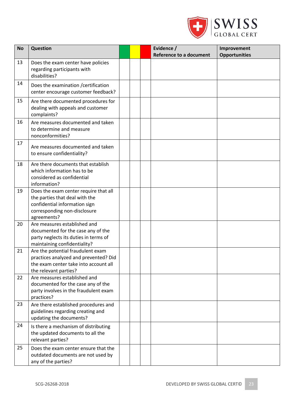

| <b>No</b> | <b>Question</b>                                                                                                                                         |  | Evidence /<br><b>Reference to a document</b> | Improvement<br><b>Opportunities</b> |
|-----------|---------------------------------------------------------------------------------------------------------------------------------------------------------|--|----------------------------------------------|-------------------------------------|
| 13        | Does the exam center have policies<br>regarding participants with<br>disabilities?                                                                      |  |                                              |                                     |
| 14        | Does the examination / certification<br>center encourage customer feedback?                                                                             |  |                                              |                                     |
| 15        | Are there documented procedures for<br>dealing with appeals and customer<br>complaints?                                                                 |  |                                              |                                     |
| 16        | Are measures documented and taken<br>to determine and measure<br>nonconformities?                                                                       |  |                                              |                                     |
| 17        | Are measures documented and taken<br>to ensure confidentiality?                                                                                         |  |                                              |                                     |
| 18        | Are there documents that establish<br>which information has to be<br>considered as confidential<br>information?                                         |  |                                              |                                     |
| 19        | Does the exam center require that all<br>the parties that deal with the<br>confidential information sign<br>corresponding non-disclosure<br>agreements? |  |                                              |                                     |
| 20        | Are measures established and<br>documented for the case any of the<br>party neglects its duties in terms of<br>maintaining confidentiality?             |  |                                              |                                     |
| 21        | Are the potential fraudulent exam<br>practices analyzed and prevented? Did<br>the exam center take into account all<br>the relevant parties?            |  |                                              |                                     |
| 22        | Are measures established and<br>documented for the case any of the<br>party involves in the fraudulent exam<br>practices?                               |  |                                              |                                     |
| 23        | Are there established procedures and<br>guidelines regarding creating and<br>updating the documents?                                                    |  |                                              |                                     |
| 24        | Is there a mechanism of distributing<br>the updated documents to all the<br>relevant parties?                                                           |  |                                              |                                     |
| 25        | Does the exam center ensure that the<br>outdated documents are not used by<br>any of the parties?                                                       |  |                                              |                                     |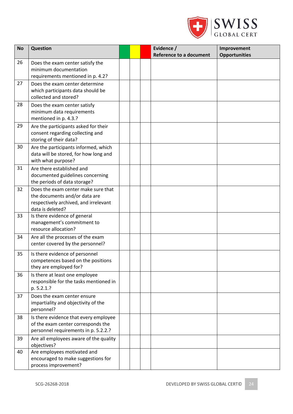

| <b>No</b> | <b>Question</b>                                                                                                                   |  | Evidence /<br><b>Reference to a document</b> | Improvement<br><b>Opportunities</b> |
|-----------|-----------------------------------------------------------------------------------------------------------------------------------|--|----------------------------------------------|-------------------------------------|
| 26        | Does the exam center satisfy the<br>minimum documentation<br>requirements mentioned in p. 4.2?                                    |  |                                              |                                     |
| 27        | Does the exam center determine<br>which participants data should be<br>collected and stored?                                      |  |                                              |                                     |
| 28        | Does the exam center satisfy<br>minimum data requirements<br>mentioned in p. 4.3.?                                                |  |                                              |                                     |
| 29        | Are the participants asked for their<br>consent regarding collecting and<br>storing of their data?                                |  |                                              |                                     |
| 30        | Are the participants informed, which<br>data will be stored, for how long and<br>with what purpose?                               |  |                                              |                                     |
| 31        | Are there established and<br>documented guidelines concerning<br>the periods of data storage?                                     |  |                                              |                                     |
| 32        | Does the exam center make sure that<br>the documents and/or data are<br>respectively archived, and irrelevant<br>data is deleted? |  |                                              |                                     |
| 33        | Is there evidence of general<br>management's commitment to<br>resource allocation?                                                |  |                                              |                                     |
| 34        | Are all the processes of the exam<br>center covered by the personnel?                                                             |  |                                              |                                     |
| 35        | Is there evidence of personnel<br>competences based on the positions<br>they are employed for?                                    |  |                                              |                                     |
| 36        | Is there at least one employee<br>responsible for the tasks mentioned in<br>p. 5.2.1.?                                            |  |                                              |                                     |
| 37        | Does the exam center ensure<br>impartiality and objectivity of the<br>personnel?                                                  |  |                                              |                                     |
| 38        | Is there evidence that every employee<br>of the exam center corresponds the<br>personnel requirements in p. 5.2.2.?               |  |                                              |                                     |
| 39        | Are all employees aware of the quality<br>objectives?                                                                             |  |                                              |                                     |
| 40        | Are employees motivated and<br>encouraged to make suggestions for<br>process improvement?                                         |  |                                              |                                     |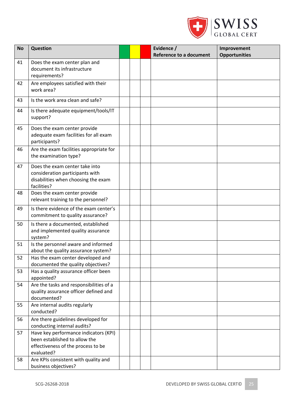

| Improvement          |
|----------------------|
| <b>Opportunities</b> |
|                      |
|                      |
|                      |
|                      |
|                      |
|                      |
|                      |
|                      |
|                      |
|                      |
|                      |
|                      |
|                      |
|                      |
|                      |
|                      |
|                      |
|                      |
|                      |
|                      |
|                      |
|                      |
|                      |
|                      |
|                      |
|                      |
|                      |
|                      |
|                      |
|                      |
|                      |
|                      |
|                      |
|                      |
|                      |
|                      |
|                      |
|                      |
|                      |
|                      |
|                      |
|                      |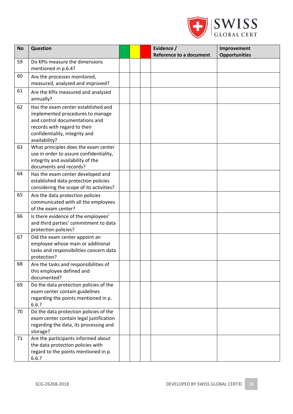

| <b>No</b> | <b>Question</b>                                                                                                                                                                              |  | Evidence /<br><b>Reference to a document</b> | Improvement<br><b>Opportunities</b> |
|-----------|----------------------------------------------------------------------------------------------------------------------------------------------------------------------------------------------|--|----------------------------------------------|-------------------------------------|
| 59        | Do KPIs measure the dimensions<br>mentioned in p.6.4?                                                                                                                                        |  |                                              |                                     |
| 60        | Are the processes monitored,<br>measured, analyzed and improved?                                                                                                                             |  |                                              |                                     |
| 61        | Are the KPIs measured and analyzed<br>annually?                                                                                                                                              |  |                                              |                                     |
| 62        | Has the exam center established and<br>implemented procedures to manage<br>and control documentations and<br>records with regard to their<br>confidentiality, integrity and<br>availability? |  |                                              |                                     |
| 63        | What principles does the exam center<br>use in order to assure confidentiality,<br>integrity and availability of the<br>documents and records?                                               |  |                                              |                                     |
| 64        | Has the exam center developed and<br>established data protection policies<br>considering the scope of its activities?                                                                        |  |                                              |                                     |
| 65        | Are the data protection policies<br>communicated with all the employees<br>of the exam center?                                                                                               |  |                                              |                                     |
| 66        | Is there evidence of the employees'<br>and third parties' commitment to data<br>protection policies?                                                                                         |  |                                              |                                     |
| 67        | Did the exam center appoint an<br>employee whose main or additional<br>tasks and responsibilities concern data<br>protection?                                                                |  |                                              |                                     |
| 68        | Are the tasks and responsibilities of<br>this employee defined and<br>documented?                                                                                                            |  |                                              |                                     |
| 69        | Do the data protection policies of the<br>exam center contain guidelines<br>regarding the points mentioned in p.<br>6.6.?                                                                    |  |                                              |                                     |
| 70        | Do the data protection policies of the<br>exam center contain legal justification<br>regarding the data, its processing and<br>storage?                                                      |  |                                              |                                     |
| 71        | Are the participants informed about<br>the data protection policies with<br>regard to the points mentioned in p.<br>6.6.?                                                                    |  |                                              |                                     |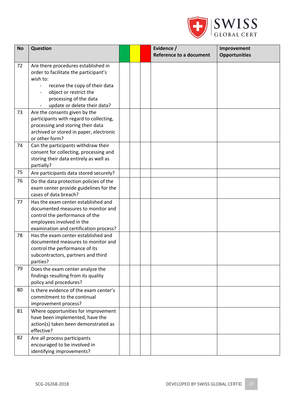

| <b>No</b> | <b>Question</b>                                                               |  | Evidence /<br><b>Reference to a document</b> | Improvement<br><b>Opportunities</b> |
|-----------|-------------------------------------------------------------------------------|--|----------------------------------------------|-------------------------------------|
| 72        | Are there procedures established in                                           |  |                                              |                                     |
|           | order to facilitate the participant's                                         |  |                                              |                                     |
|           | wish to:                                                                      |  |                                              |                                     |
|           | receive the copy of their data                                                |  |                                              |                                     |
|           | object or restrict the                                                        |  |                                              |                                     |
|           | processing of the data                                                        |  |                                              |                                     |
|           | update or delete their data?                                                  |  |                                              |                                     |
| 73        | Are the consents given by the                                                 |  |                                              |                                     |
|           | participants with regard to collecting,                                       |  |                                              |                                     |
|           | processing and storing their data                                             |  |                                              |                                     |
|           | archived or stored in paper, electronic                                       |  |                                              |                                     |
|           | or other form?                                                                |  |                                              |                                     |
| 74        | Can the participants withdraw their                                           |  |                                              |                                     |
|           | consent for collecting, processing and                                        |  |                                              |                                     |
|           | storing their data entirely as well as                                        |  |                                              |                                     |
| 75        | partially?                                                                    |  |                                              |                                     |
|           | Are participants data stored securely?                                        |  |                                              |                                     |
| 76        | Do the data protection policies of the                                        |  |                                              |                                     |
|           | exam center provide guidelines for the                                        |  |                                              |                                     |
|           | cases of data breach?                                                         |  |                                              |                                     |
| 77        | Has the exam center established and                                           |  |                                              |                                     |
|           | documented measures to monitor and                                            |  |                                              |                                     |
|           | control the performance of the                                                |  |                                              |                                     |
|           | employees involved in the                                                     |  |                                              |                                     |
| 78        | examination and certification process?<br>Has the exam center established and |  |                                              |                                     |
|           | documented measures to monitor and                                            |  |                                              |                                     |
|           | control the performance of its                                                |  |                                              |                                     |
|           | subcontractors, partners and third                                            |  |                                              |                                     |
|           | parties?                                                                      |  |                                              |                                     |
| 79        | Does the exam center analyze the                                              |  |                                              |                                     |
|           | findings resulting from its quality                                           |  |                                              |                                     |
|           | policy and procedures?                                                        |  |                                              |                                     |
| 80        | Is there evidence of the exam center's                                        |  |                                              |                                     |
|           | commitment to the continual                                                   |  |                                              |                                     |
|           | improvement process?                                                          |  |                                              |                                     |
| 81        | Where opportunities for improvement                                           |  |                                              |                                     |
|           | have been implemented, have the                                               |  |                                              |                                     |
|           | action(s) taken been demonstrated as                                          |  |                                              |                                     |
|           | effective?                                                                    |  |                                              |                                     |
| 82        | Are all process participants                                                  |  |                                              |                                     |
|           | encouraged to be involved in                                                  |  |                                              |                                     |
|           | identifying improvements?                                                     |  |                                              |                                     |